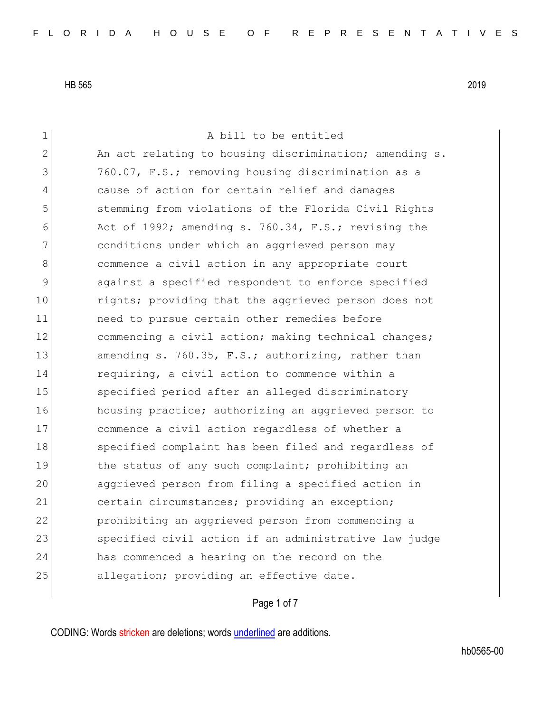1 a bill to be entitled  $2$  An act relating to housing discrimination; amending s. 3 760.07, F.S.; removing housing discrimination as a 4 cause of action for certain relief and damages 5 5 stemming from violations of the Florida Civil Rights 6 Act of 1992; amending s. 760.34, F.S.; revising the 7 conditions under which an aggrieved person may 8 commence a civil action in any appropriate court 9 against a specified respondent to enforce specified 10 10 rights; providing that the aggrieved person does not 11 need to pursue certain other remedies before 12 commencing a civil action; making technical changes; 13 amending s. 760.35, F.S.; authorizing, rather than 14 requiring, a civil action to commence within a 15 specified period after an alleged discriminatory 16 housing practice; authorizing an aggrieved person to 17 commence a civil action regardless of whether a 18 Specified complaint has been filed and regardless of 19 the status of any such complaint; prohibiting an 20 aggrieved person from filing a specified action in 21 certain circumstances; providing an exception; 22 prohibiting an aggrieved person from commencing a 23 Specified civil action if an administrative law judge 24 has commenced a hearing on the record on the 25 allegation; providing an effective date.

# Page 1 of 7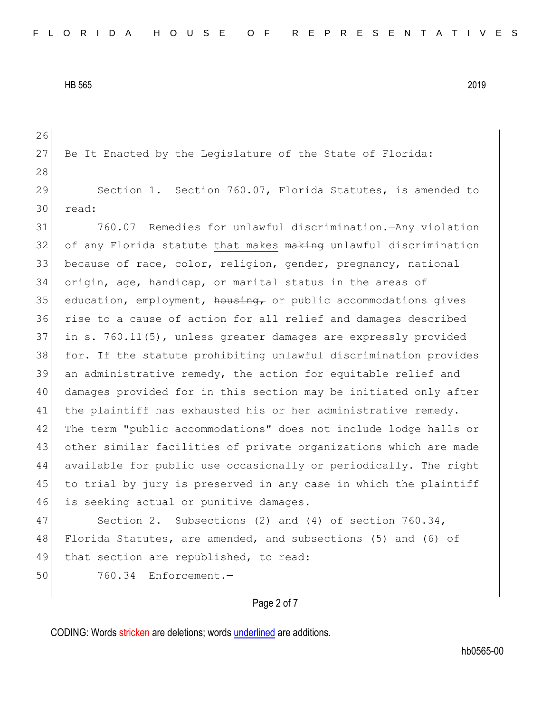26 27 Be It Enacted by the Legislature of the State of Florida: 28 29 Section 1. Section 760.07, Florida Statutes, is amended to 30 read: 31 760.07 Remedies for unlawful discrimination.—Any violation 32 of any Florida statute that makes making unlawful discrimination 33 because of race, color, religion, gender, pregnancy, national 34 origin, age, handicap, or marital status in the areas of  $35$  education, employment,  $h_{\text{ousing}}$  or public accommodations gives 36 rise to a cause of action for all relief and damages described 37 in s. 760.11(5), unless greater damages are expressly provided 38 for. If the statute prohibiting unlawful discrimination provides 39 an administrative remedy, the action for equitable relief and 40 damages provided for in this section may be initiated only after 41 the plaintiff has exhausted his or her administrative remedy. 42 The term "public accommodations" does not include lodge halls or 43 other similar facilities of private organizations which are made 44 available for public use occasionally or periodically. The right 45 to trial by jury is preserved in any case in which the plaintiff 46 is seeking actual or punitive damages. 47 Section 2. Subsections (2) and (4) of section 760.34,

48 Florida Statutes, are amended, and subsections (5) and (6) of 49 that section are republished, to read:

50 760.34 Enforcement.—

### Page 2 of 7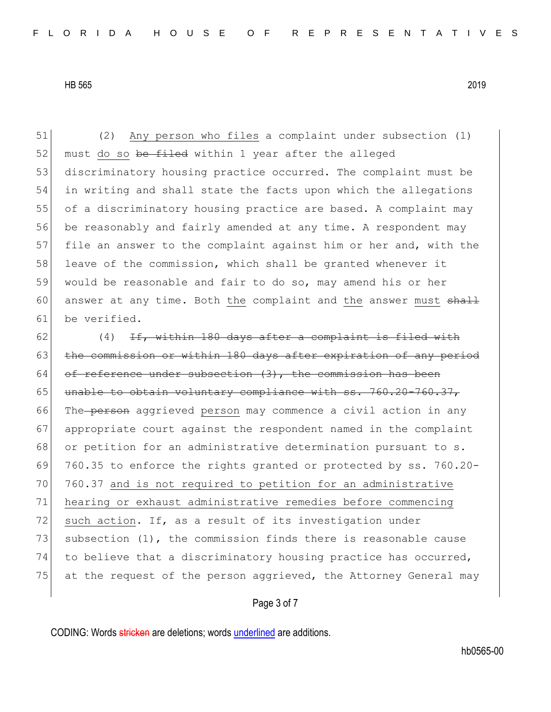(2) Any person who files a complaint under subsection (1) 52 must do so be filed within 1 year after the alleged discriminatory housing practice occurred. The complaint must be in writing and shall state the facts upon which the allegations of a discriminatory housing practice are based. A complaint may be reasonably and fairly amended at any time. A respondent may 57 file an answer to the complaint against him or her and, with the 58 leave of the commission, which shall be granted whenever it would be reasonable and fair to do so, may amend his or her 60 answer at any time. Both the complaint and the answer must  $shath$ be verified.

62  $(4)$  If, within 180 days after a complaint is filed with 63 the commission or within 180 days after expiration of any period 64 of reference under subsection  $(3)$ , the commission has been 65 unable to obtain voluntary compliance with ss. 760.20-760.37, 66 The person aggrieved person may commence a civil action in any 67 appropriate court against the respondent named in the complaint 68 or petition for an administrative determination pursuant to s. 69 760.35 to enforce the rights granted or protected by ss. 760.20- 70 760.37 and is not required to petition for an administrative 71 hearing or exhaust administrative remedies before commencing 72 such action. If, as a result of its investigation under 73 subsection  $(1)$ , the commission finds there is reasonable cause 74 to believe that a discriminatory housing practice has occurred, 75 at the request of the person aggrieved, the Attorney General may

### Page 3 of 7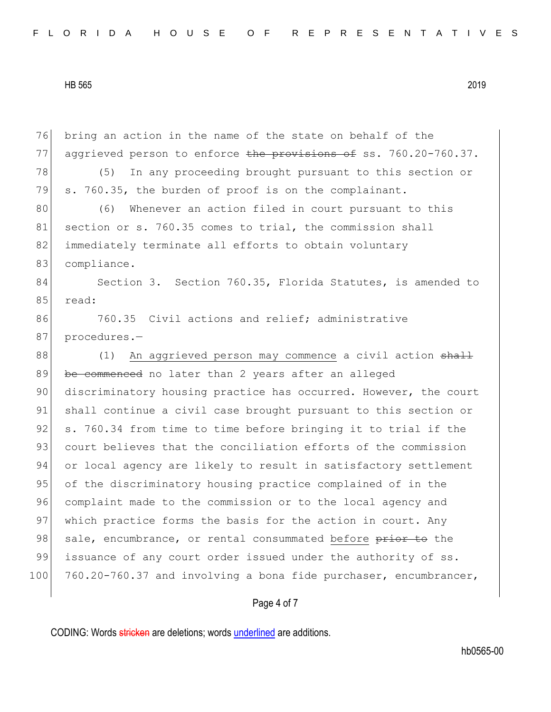76 bring an action in the name of the state on behalf of the 77 aggrieved person to enforce the provisions of ss. 760.20-760.37. 78 (5) In any proceeding brought pursuant to this section or 79 s. 760.35, the burden of proof is on the complainant. 80 (6) Whenever an action filed in court pursuant to this 81 section or s. 760.35 comes to trial, the commission shall 82 immediately terminate all efforts to obtain voluntary 83 compliance. 84 Section 3. Section 760.35, Florida Statutes, is amended to 85 read: 86 760.35 Civil actions and relief; administrative 87 procedures.-88 (1) An aggrieved person may commence a civil action shall 89 be commenced no later than 2 years after an alleged 90 discriminatory housing practice has occurred. However, the court 91 shall continue a civil case brought pursuant to this section or 92 s. 760.34 from time to time before bringing it to trial if the 93 court believes that the conciliation efforts of the commission 94 or local agency are likely to result in satisfactory settlement 95 of the discriminatory housing practice complained of in the 96 complaint made to the commission or to the local agency and 97 which practice forms the basis for the action in court. Any 98 sale, encumbrance, or rental consummated before prior to the 99 issuance of any court order issued under the authority of ss. 100 760.20-760.37 and involving a bona fide purchaser, encumbrancer,

Page 4 of 7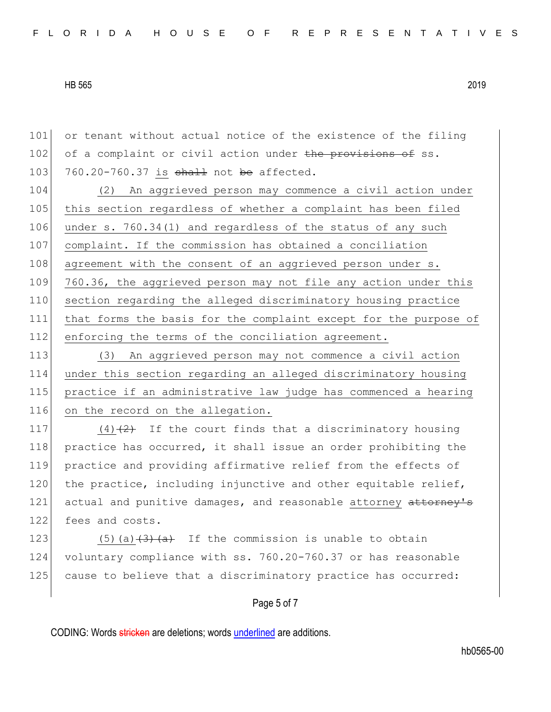101 or tenant without actual notice of the existence of the filing 102 of a complaint or civil action under the provisions of ss. 103  $760.20-760.37$  is shall not be affected.

104 (2) An aggrieved person may commence a civil action under 105 this section regardless of whether a complaint has been filed 106 under s. 760.34(1) and regardless of the status of any such 107 complaint. If the commission has obtained a conciliation 108 agreement with the consent of an aggrieved person under s. 109 760.36, the aggrieved person may not file any action under this 110 section regarding the alleged discriminatory housing practice 111 that forms the basis for the complaint except for the purpose of 112 enforcing the terms of the conciliation agreement.

 (3) An aggrieved person may not commence a civil action under this section regarding an alleged discriminatory housing practice if an administrative law judge has commenced a hearing 116 on the record on the allegation.

117  $(4)$   $(2)$  If the court finds that a discriminatory housing 118 practice has occurred, it shall issue an order prohibiting the 119 practice and providing affirmative relief from the effects of  $120$  the practice, including injunctive and other equitable relief, 121 actual and punitive damages, and reasonable attorney attorney's 122 fees and costs.

123  $(5)(a)$   $\overline{(3)}$   $\overline{(a)}$  If the commission is unable to obtain 124 voluntary compliance with ss. 760.20-760.37 or has reasonable 125 cause to believe that a discriminatory practice has occurred:

#### Page 5 of 7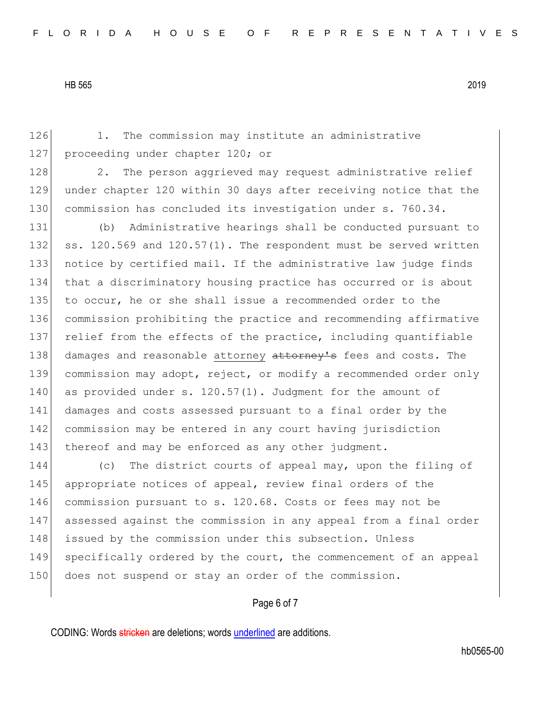126 1. The commission may institute an administrative 127 proceeding under chapter 120; or 128 2. The person aggrieved may request administrative relief 129 under chapter 120 within 30 days after receiving notice that the 130 commission has concluded its investigation under s. 760.34. 131 (b) Administrative hearings shall be conducted pursuant to 132 ss. 120.569 and 120.57(1). The respondent must be served written 133 notice by certified mail. If the administrative law judge finds 134 that a discriminatory housing practice has occurred or is about 135 to occur, he or she shall issue a recommended order to the 136 commission prohibiting the practice and recommending affirmative 137 relief from the effects of the practice, including quantifiable 138 damages and reasonable attorney attorney's fees and costs. The 139 commission may adopt, reject, or modify a recommended order only 140 as provided under s. 120.57(1). Judgment for the amount of 141 damages and costs assessed pursuant to a final order by the 142 commission may be entered in any court having jurisdiction 143 thereof and may be enforced as any other judgment. 144 (c) The district courts of appeal may, upon the filing of 145 appropriate notices of appeal, review final orders of the 146 commission pursuant to s. 120.68. Costs or fees may not be 147 assessed against the commission in any appeal from a final order 148 issued by the commission under this subsection. Unless

149 specifically ordered by the court, the commencement of an appeal 150 does not suspend or stay an order of the commission.

# Page 6 of 7